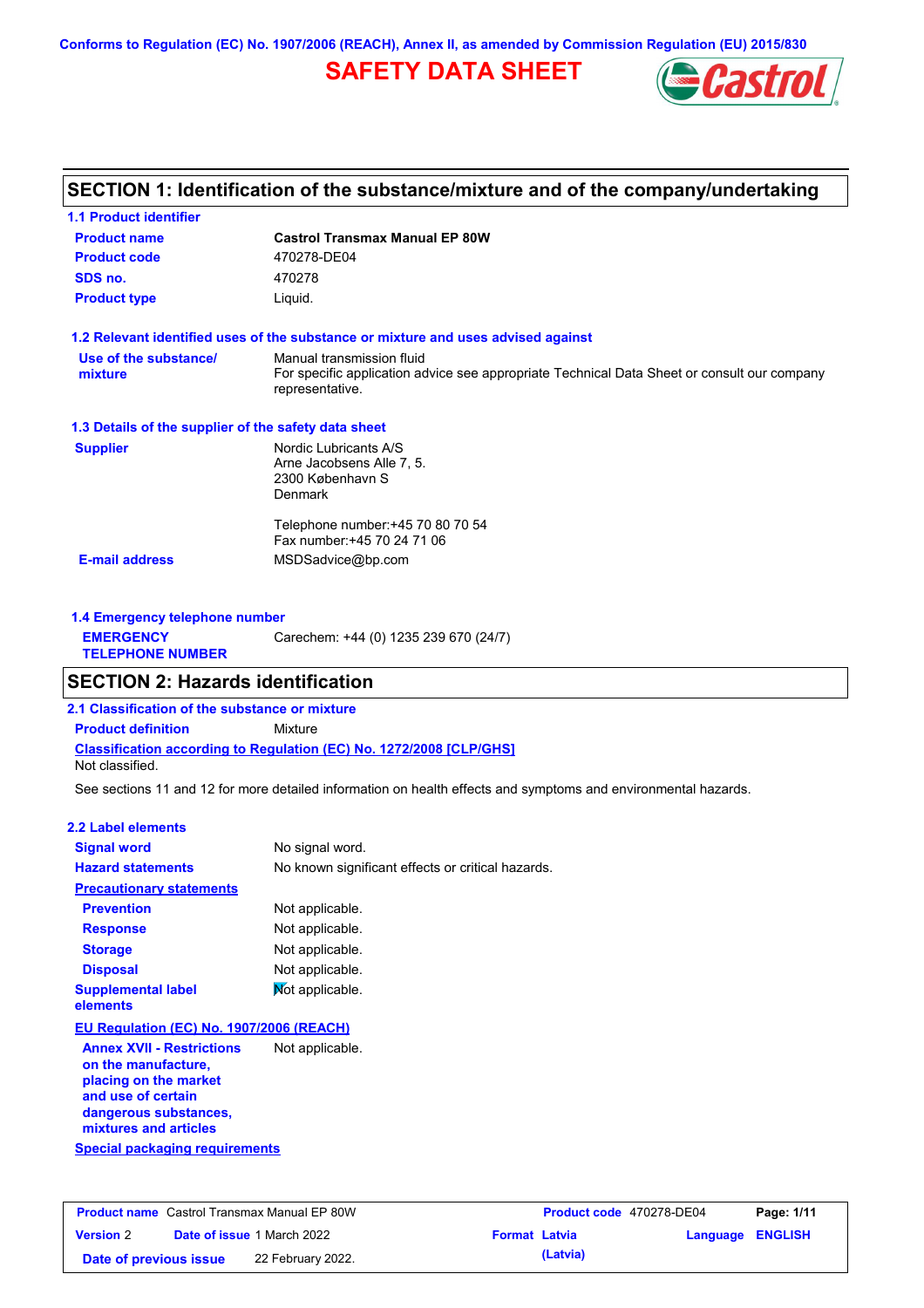**Conforms to Regulation (EC) No. 1907/2006 (REACH), Annex II, as amended by Commission Regulation (EU) 2015/830**

# **SAFETY DATA SHEET**



## **SECTION 1: Identification of the substance/mixture and of the company/undertaking**

| <b>1.1 Product identifier</b>                        |                                                                                                                |
|------------------------------------------------------|----------------------------------------------------------------------------------------------------------------|
| <b>Product name</b>                                  | <b>Castrol Transmax Manual EP 80W</b>                                                                          |
| <b>Product code</b>                                  | 470278-DE04                                                                                                    |
| SDS no.                                              | 470278                                                                                                         |
| <b>Product type</b>                                  | Liquid.                                                                                                        |
|                                                      | 1.2 Relevant identified uses of the substance or mixture and uses advised against                              |
| Use of the substance/                                | Manual transmission fluid                                                                                      |
| mixture                                              | For specific application advice see appropriate Technical Data Sheet or consult our company<br>representative. |
| 1.3 Details of the supplier of the safety data sheet |                                                                                                                |
| <b>Supplier</b>                                      | Nordic Lubricants A/S                                                                                          |
|                                                      | Arne Jacobsens Alle 7, 5.                                                                                      |
|                                                      | 2300 København S<br><b>Denmark</b>                                                                             |
|                                                      |                                                                                                                |
|                                                      | Telephone number: +45 70 80 70 54                                                                              |
|                                                      | Fax number: +45 70 24 71 06                                                                                    |
| <b>E-mail address</b>                                | MSDSadvice@bp.com                                                                                              |
|                                                      |                                                                                                                |
|                                                      |                                                                                                                |

| 1.4 Emergency telephone number              |                                       |  |  |
|---------------------------------------------|---------------------------------------|--|--|
| <b>EMERGENCY</b><br><b>TELEPHONE NUMBER</b> | Carechem: +44 (0) 1235 239 670 (24/7) |  |  |

### **SECTION 2: Hazards identification**

**2.1 Classification of the substance or mixture**

**Classification according to Regulation (EC) No. 1272/2008 [CLP/GHS] Product definition** Mixture

Not classified.

See sections 11 and 12 for more detailed information on health effects and symptoms and environmental hazards.

### **2.2 Label elements**

| <b>Signal word</b>                                                                                                                                       | No signal word.                                   |
|----------------------------------------------------------------------------------------------------------------------------------------------------------|---------------------------------------------------|
| <b>Hazard statements</b>                                                                                                                                 | No known significant effects or critical hazards. |
| <b>Precautionary statements</b>                                                                                                                          |                                                   |
| <b>Prevention</b>                                                                                                                                        | Not applicable.                                   |
| <b>Response</b>                                                                                                                                          | Not applicable.                                   |
| <b>Storage</b>                                                                                                                                           | Not applicable.                                   |
| <b>Disposal</b>                                                                                                                                          | Not applicable.                                   |
| <b>Supplemental label</b><br>elements                                                                                                                    | Mot applicable.                                   |
| EU Regulation (EC) No. 1907/2006 (REACH)                                                                                                                 |                                                   |
| <b>Annex XVII - Restrictions</b><br>on the manufacture,<br>placing on the market<br>and use of certain<br>dangerous substances,<br>mixtures and articles | Not applicable.                                   |
| Special packaging requirements                                                                                                                           |                                                   |

| <b>Product name</b> Castrol Transmax Manual EP 80W |  | Product code 470278-DE04          |                      | Page: 1/11 |                         |  |
|----------------------------------------------------|--|-----------------------------------|----------------------|------------|-------------------------|--|
| <b>Version 2</b>                                   |  | <b>Date of issue 1 March 2022</b> | <b>Format Latvia</b> |            | <b>Language ENGLISH</b> |  |
| Date of previous issue                             |  | 22 February 2022.                 |                      | (Latvia)   |                         |  |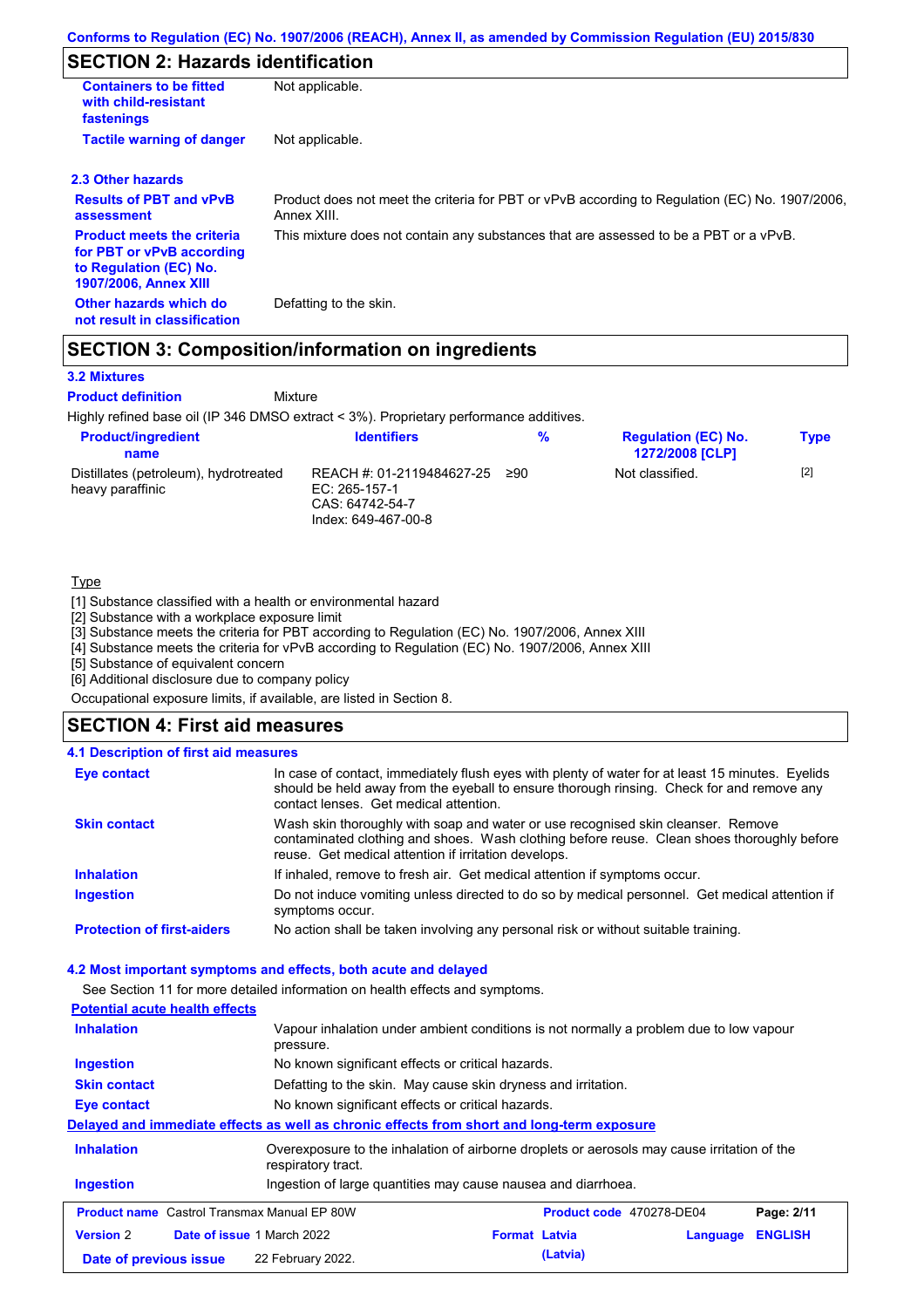# **SECTION 2: Hazards identification**

| <b>Containers to be fitted</b><br>with child-resistant<br>fastenings                                                     | Not applicable.                                                                                               |
|--------------------------------------------------------------------------------------------------------------------------|---------------------------------------------------------------------------------------------------------------|
| <b>Tactile warning of danger</b>                                                                                         | Not applicable.                                                                                               |
| 2.3 Other hazards                                                                                                        |                                                                                                               |
| <b>Results of PBT and vPvB</b><br>assessment                                                                             | Product does not meet the criteria for PBT or vPvB according to Regulation (EC) No. 1907/2006,<br>Annex XIII. |
| <b>Product meets the criteria</b><br>for PBT or vPvB according<br>to Regulation (EC) No.<br><b>1907/2006, Annex XIII</b> | This mixture does not contain any substances that are assessed to be a PBT or a vPvB.                         |
| Other hazards which do<br>not result in classification                                                                   | Defatting to the skin.                                                                                        |

### **SECTION 3: Composition/information on ingredients**

Mixture

### **3.2 Mixtures**

**Product definition**

Highly refined base oil (IP 346 DMSO extract < 3%). Proprietary performance additives.

| <b>Product/ingredient</b><br>name                         | <b>Identifiers</b>                                                                     | %   | <b>Regulation (EC) No.</b><br><b>1272/2008 [CLP]</b> | <b>Type</b> |
|-----------------------------------------------------------|----------------------------------------------------------------------------------------|-----|------------------------------------------------------|-------------|
| Distillates (petroleum), hydrotreated<br>heavy paraffinic | REACH #: 01-2119484627-25<br>EC: $265-157-1$<br>CAS: 64742-54-7<br>Index: 649-467-00-8 | ≥90 | Not classified.                                      | $[2]$       |

### **Type**

[1] Substance classified with a health or environmental hazard

[2] Substance with a workplace exposure limit

[3] Substance meets the criteria for PBT according to Regulation (EC) No. 1907/2006, Annex XIII

[4] Substance meets the criteria for vPvB according to Regulation (EC) No. 1907/2006, Annex XIII

[5] Substance of equivalent concern

[6] Additional disclosure due to company policy

Occupational exposure limits, if available, are listed in Section 8.

### **SECTION 4: First aid measures**

### **4.1 Description of first aid measures**

| <b>Eye contact</b>                | In case of contact, immediately flush eyes with plenty of water for at least 15 minutes. Eyelids<br>should be held away from the eyeball to ensure thorough rinsing. Check for and remove any<br>contact lenses. Get medical attention. |
|-----------------------------------|-----------------------------------------------------------------------------------------------------------------------------------------------------------------------------------------------------------------------------------------|
| <b>Skin contact</b>               | Wash skin thoroughly with soap and water or use recognised skin cleanser. Remove<br>contaminated clothing and shoes. Wash clothing before reuse. Clean shoes thoroughly before<br>reuse. Get medical attention if irritation develops.  |
| <b>Inhalation</b>                 | If inhaled, remove to fresh air. Get medical attention if symptoms occur.                                                                                                                                                               |
| <b>Ingestion</b>                  | Do not induce vomiting unless directed to do so by medical personnel. Get medical attention if<br>symptoms occur.                                                                                                                       |
| <b>Protection of first-aiders</b> | No action shall be taken involving any personal risk or without suitable training.                                                                                                                                                      |

### **4.2 Most important symptoms and effects, both acute and delayed**

See Section 11 for more detailed information on health effects and symptoms.

| <b>Potential acute health effects</b>                 |                                                                                                                   |                      |                          |          |                |
|-------------------------------------------------------|-------------------------------------------------------------------------------------------------------------------|----------------------|--------------------------|----------|----------------|
| <b>Inhalation</b>                                     | Vapour inhalation under ambient conditions is not normally a problem due to low vapour<br>pressure.               |                      |                          |          |                |
| Ingestion                                             | No known significant effects or critical hazards.                                                                 |                      |                          |          |                |
| <b>Skin contact</b>                                   | Defatting to the skin. May cause skin dryness and irritation.                                                     |                      |                          |          |                |
| Eye contact                                           | No known significant effects or critical hazards.                                                                 |                      |                          |          |                |
|                                                       | Delayed and immediate effects as well as chronic effects from short and long-term exposure                        |                      |                          |          |                |
| <b>Inhalation</b>                                     | Overexposure to the inhalation of airborne droplets or aerosols may cause irritation of the<br>respiratory tract. |                      |                          |          |                |
| <b>Ingestion</b>                                      | Ingestion of large quantities may cause nausea and diarrhoea.                                                     |                      |                          |          |                |
| <b>Product name</b> Castrol Transmax Manual EP 80W    |                                                                                                                   |                      | Product code 470278-DE04 |          | Page: 2/11     |
| <b>Date of issue 1 March 2022</b><br><b>Version 2</b> |                                                                                                                   | <b>Format Latvia</b> |                          | Language | <b>ENGLISH</b> |
| Date of previous issue                                | 22 February 2022.                                                                                                 |                      | (Latvia)                 |          |                |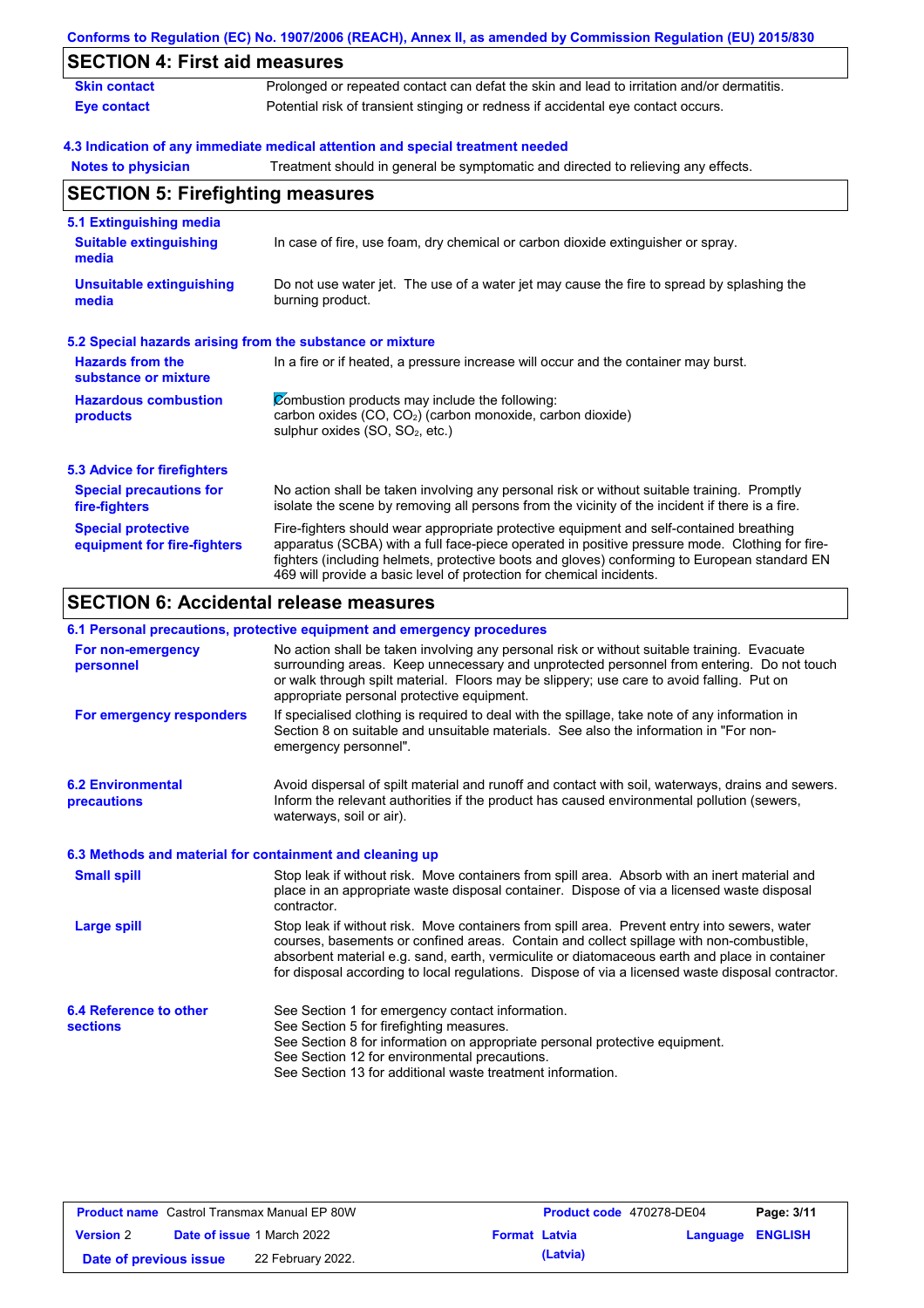|                                                           | Conforms to Regulation (EC) No. 1907/2006 (REACH), Annex II, as amended by Commission Regulation (EU) 2015/830                                                                                                                                                                                                                                                    |
|-----------------------------------------------------------|-------------------------------------------------------------------------------------------------------------------------------------------------------------------------------------------------------------------------------------------------------------------------------------------------------------------------------------------------------------------|
| <b>SECTION 4: First aid measures</b>                      |                                                                                                                                                                                                                                                                                                                                                                   |
| <b>Skin contact</b>                                       | Prolonged or repeated contact can defat the skin and lead to irritation and/or dermatitis.                                                                                                                                                                                                                                                                        |
| <b>Eye contact</b>                                        | Potential risk of transient stinging or redness if accidental eye contact occurs.                                                                                                                                                                                                                                                                                 |
|                                                           | 4.3 Indication of any immediate medical attention and special treatment needed                                                                                                                                                                                                                                                                                    |
| <b>Notes to physician</b>                                 | Treatment should in general be symptomatic and directed to relieving any effects.                                                                                                                                                                                                                                                                                 |
| <b>SECTION 5: Firefighting measures</b>                   |                                                                                                                                                                                                                                                                                                                                                                   |
| 5.1 Extinguishing media                                   |                                                                                                                                                                                                                                                                                                                                                                   |
| <b>Suitable extinguishing</b><br>media                    | In case of fire, use foam, dry chemical or carbon dioxide extinguisher or spray.                                                                                                                                                                                                                                                                                  |
| <b>Unsuitable extinguishing</b><br>media                  | Do not use water jet. The use of a water jet may cause the fire to spread by splashing the<br>burning product.                                                                                                                                                                                                                                                    |
| 5.2 Special hazards arising from the substance or mixture |                                                                                                                                                                                                                                                                                                                                                                   |
| <b>Hazards from the</b><br>substance or mixture           | In a fire or if heated, a pressure increase will occur and the container may burst.                                                                                                                                                                                                                                                                               |
| <b>Hazardous combustion</b><br>products                   | Combustion products may include the following:<br>carbon oxides (CO, CO2) (carbon monoxide, carbon dioxide)<br>sulphur oxides (SO, SO <sub>2</sub> , etc.)                                                                                                                                                                                                        |
| <b>5.3 Advice for firefighters</b>                        |                                                                                                                                                                                                                                                                                                                                                                   |
| <b>Special precautions for</b><br>fire-fighters           | No action shall be taken involving any personal risk or without suitable training. Promptly<br>isolate the scene by removing all persons from the vicinity of the incident if there is a fire.                                                                                                                                                                    |
| <b>Special protective</b><br>equipment for fire-fighters  | Fire-fighters should wear appropriate protective equipment and self-contained breathing<br>apparatus (SCBA) with a full face-piece operated in positive pressure mode. Clothing for fire-<br>fighters (including helmets, protective boots and gloves) conforming to European standard EN<br>469 will provide a basic level of protection for chemical incidents. |

#### **6.1 Personal precautions, protective equipment and emergency procedures**

|                                                          | <u> . ordonar productiona, protocitto aquipmont and omorgonof production</u>                                                                                                                                                                                                                                                                                                                   |
|----------------------------------------------------------|------------------------------------------------------------------------------------------------------------------------------------------------------------------------------------------------------------------------------------------------------------------------------------------------------------------------------------------------------------------------------------------------|
| For non-emergency<br>personnel                           | No action shall be taken involving any personal risk or without suitable training. Evacuate<br>surrounding areas. Keep unnecessary and unprotected personnel from entering. Do not touch<br>or walk through spilt material. Floors may be slippery; use care to avoid falling. Put on<br>appropriate personal protective equipment.                                                            |
| For emergency responders                                 | If specialised clothing is required to deal with the spillage, take note of any information in<br>Section 8 on suitable and unsuitable materials. See also the information in "For non-<br>emergency personnel".                                                                                                                                                                               |
| <b>6.2 Environmental</b><br>precautions                  | Avoid dispersal of spilt material and runoff and contact with soil, waterways, drains and sewers.<br>Inform the relevant authorities if the product has caused environmental pollution (sewers,<br>waterways, soil or air).                                                                                                                                                                    |
| 6.3 Methods and material for containment and cleaning up |                                                                                                                                                                                                                                                                                                                                                                                                |
| <b>Small spill</b>                                       | Stop leak if without risk. Move containers from spill area. Absorb with an inert material and<br>place in an appropriate waste disposal container. Dispose of via a licensed waste disposal<br>contractor.                                                                                                                                                                                     |
| <b>Large spill</b>                                       | Stop leak if without risk. Move containers from spill area. Prevent entry into sewers, water<br>courses, basements or confined areas. Contain and collect spillage with non-combustible,<br>absorbent material e.g. sand, earth, vermiculite or diatomaceous earth and place in container<br>for disposal according to local regulations. Dispose of via a licensed waste disposal contractor. |
| 6.4 Reference to other<br><b>sections</b>                | See Section 1 for emergency contact information.<br>See Section 5 for firefighting measures.<br>See Section 8 for information on appropriate personal protective equipment.<br>See Section 12 for environmental precautions.<br>See Section 13 for additional waste treatment information.                                                                                                     |

| <b>Product name</b> Castrol Transmax Manual EP 80W |  | Product code 470278-DE04          |                      | Page: 3/11 |                         |  |
|----------------------------------------------------|--|-----------------------------------|----------------------|------------|-------------------------|--|
| <b>Version 2</b>                                   |  | <b>Date of issue 1 March 2022</b> | <b>Format Latvia</b> |            | <b>Language ENGLISH</b> |  |
| Date of previous issue                             |  | 22 February 2022.                 |                      | (Latvia)   |                         |  |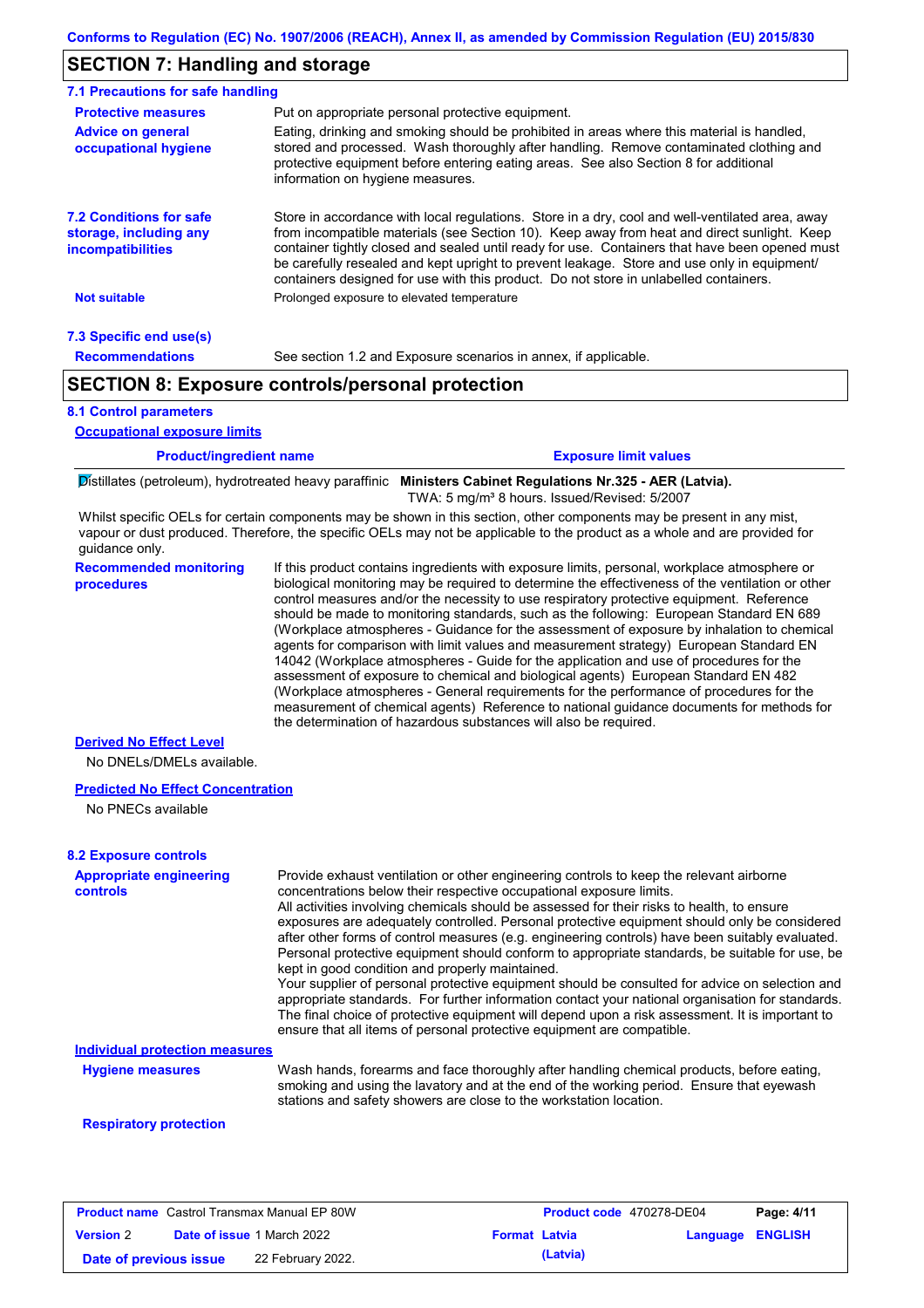### **SECTION 7: Handling and storage**

| 7.1 Precautions for safe handling                                                    |                                                                                                                                                                                                                                                                                                                                                                                                                                                                                          |
|--------------------------------------------------------------------------------------|------------------------------------------------------------------------------------------------------------------------------------------------------------------------------------------------------------------------------------------------------------------------------------------------------------------------------------------------------------------------------------------------------------------------------------------------------------------------------------------|
| <b>Protective measures</b>                                                           | Put on appropriate personal protective equipment.                                                                                                                                                                                                                                                                                                                                                                                                                                        |
| <b>Advice on general</b><br>occupational hygiene                                     | Eating, drinking and smoking should be prohibited in areas where this material is handled,<br>stored and processed. Wash thoroughly after handling. Remove contaminated clothing and<br>protective equipment before entering eating areas. See also Section 8 for additional<br>information on hygiene measures.                                                                                                                                                                         |
| <b>7.2 Conditions for safe</b><br>storage, including any<br><i>incompatibilities</i> | Store in accordance with local requlations. Store in a dry, cool and well-ventilated area, away<br>from incompatible materials (see Section 10). Keep away from heat and direct sunlight. Keep<br>container tightly closed and sealed until ready for use. Containers that have been opened must<br>be carefully resealed and kept upright to prevent leakage. Store and use only in equipment/<br>containers designed for use with this product. Do not store in unlabelled containers. |
| <b>Not suitable</b>                                                                  | Prolonged exposure to elevated temperature                                                                                                                                                                                                                                                                                                                                                                                                                                               |
| 7.3 Specific end use(s)                                                              |                                                                                                                                                                                                                                                                                                                                                                                                                                                                                          |
| <b>Recommendations</b>                                                               | See section 1.2 and Exposure scenarios in annex, if applicable.                                                                                                                                                                                                                                                                                                                                                                                                                          |
|                                                                                      | <b>SECTION 8: Exposure controls/personal protection</b>                                                                                                                                                                                                                                                                                                                                                                                                                                  |

### **8.1 Control parameters**

**Occupational exposure limits**

| <b>Product/ingredient name</b> | <b>Exposure limit values</b>                                                                                |
|--------------------------------|-------------------------------------------------------------------------------------------------------------|
|                                | Distillates (petroleum), hydrotreated heavy paraffinic Ministers Cabinet Regulations Nr.325 - AER (Latvia). |

TWA: 5 mg/m<sup>3</sup> 8 hours. Issued/Revised: 5/2007

Whilst specific OELs for certain components may be shown in this section, other components may be present in any mist, vapour or dust produced. Therefore, the specific OELs may not be applicable to the product as a whole and are provided for guidance only.

**Recommended monitoring procedures** If this product contains ingredients with exposure limits, personal, workplace atmosphere or biological monitoring may be required to determine the effectiveness of the ventilation or other control measures and/or the necessity to use respiratory protective equipment. Reference should be made to monitoring standards, such as the following: European Standard EN 689 (Workplace atmospheres - Guidance for the assessment of exposure by inhalation to chemical agents for comparison with limit values and measurement strategy) European Standard EN 14042 (Workplace atmospheres - Guide for the application and use of procedures for the assessment of exposure to chemical and biological agents) European Standard EN 482 (Workplace atmospheres - General requirements for the performance of procedures for the measurement of chemical agents) Reference to national guidance documents for methods for the determination of hazardous substances will also be required.

### **Derived No Effect Level**

No DNELs/DMELs available.

#### **Predicted No Effect Concentration**

No PNECs available

| <b>8.2 Exposure controls</b>               |                                                                                                                                                                                                                                                                                                                                                                                                                                                                                                                                                                                                                                                                                                                                                                                                                                                                                                                                                                                                         |
|--------------------------------------------|---------------------------------------------------------------------------------------------------------------------------------------------------------------------------------------------------------------------------------------------------------------------------------------------------------------------------------------------------------------------------------------------------------------------------------------------------------------------------------------------------------------------------------------------------------------------------------------------------------------------------------------------------------------------------------------------------------------------------------------------------------------------------------------------------------------------------------------------------------------------------------------------------------------------------------------------------------------------------------------------------------|
| <b>Appropriate engineering</b><br>controls | Provide exhaust ventilation or other engineering controls to keep the relevant airborne<br>concentrations below their respective occupational exposure limits.<br>All activities involving chemicals should be assessed for their risks to health, to ensure<br>exposures are adequately controlled. Personal protective equipment should only be considered<br>after other forms of control measures (e.g. engineering controls) have been suitably evaluated.<br>Personal protective equipment should conform to appropriate standards, be suitable for use, be<br>kept in good condition and properly maintained.<br>Your supplier of personal protective equipment should be consulted for advice on selection and<br>appropriate standards. For further information contact your national organisation for standards.<br>The final choice of protective equipment will depend upon a risk assessment. It is important to<br>ensure that all items of personal protective equipment are compatible. |
| <b>Individual protection measures</b>      |                                                                                                                                                                                                                                                                                                                                                                                                                                                                                                                                                                                                                                                                                                                                                                                                                                                                                                                                                                                                         |
| <b>Hygiene measures</b>                    | Wash hands, forearms and face thoroughly after handling chemical products, before eating,<br>smoking and using the lavatory and at the end of the working period. Ensure that eyewash<br>stations and safety showers are close to the workstation location.                                                                                                                                                                                                                                                                                                                                                                                                                                                                                                                                                                                                                                                                                                                                             |

#### **Respiratory protection**

| <b>Product name</b> Castrol Transmax Manual EP 80W |  | <b>Product code</b> 470278-DE04   |                      | Page: 4/11 |                  |  |
|----------------------------------------------------|--|-----------------------------------|----------------------|------------|------------------|--|
| <b>Version 2</b>                                   |  | <b>Date of issue 1 March 2022</b> | <b>Format Latvia</b> |            | Language ENGLISH |  |
| Date of previous issue                             |  | 22 February 2022.                 |                      | (Latvia)   |                  |  |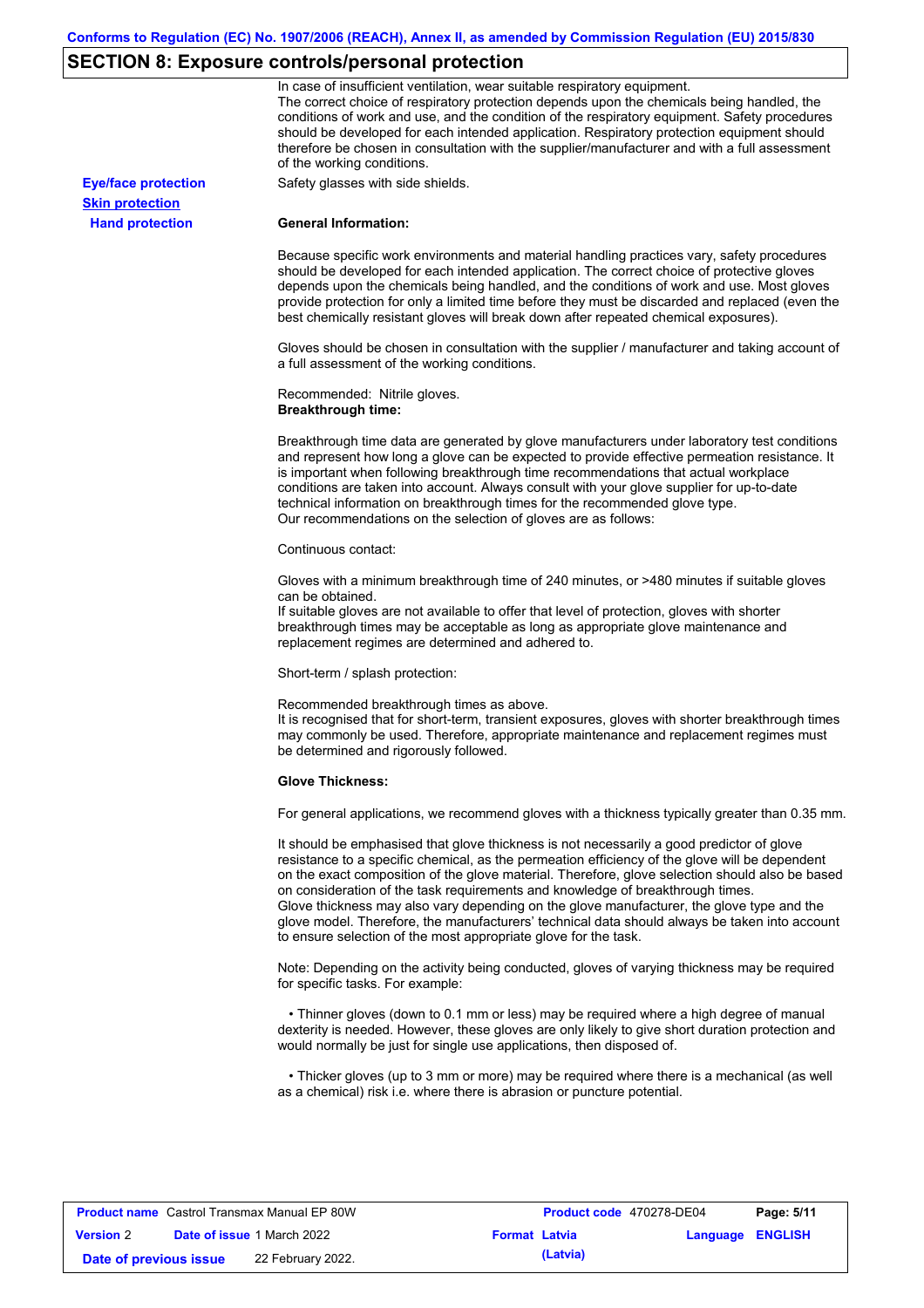# **SECTION 8: Exposure controls/personal protection**

|                            | In case of insufficient ventilation, wear suitable respiratory equipment.<br>The correct choice of respiratory protection depends upon the chemicals being handled, the<br>conditions of work and use, and the condition of the respiratory equipment. Safety procedures<br>should be developed for each intended application. Respiratory protection equipment should<br>therefore be chosen in consultation with the supplier/manufacturer and with a full assessment<br>of the working conditions.                                                                                                                                             |
|----------------------------|---------------------------------------------------------------------------------------------------------------------------------------------------------------------------------------------------------------------------------------------------------------------------------------------------------------------------------------------------------------------------------------------------------------------------------------------------------------------------------------------------------------------------------------------------------------------------------------------------------------------------------------------------|
| <b>Eye/face protection</b> | Safety glasses with side shields.                                                                                                                                                                                                                                                                                                                                                                                                                                                                                                                                                                                                                 |
| <b>Skin protection</b>     |                                                                                                                                                                                                                                                                                                                                                                                                                                                                                                                                                                                                                                                   |
| <b>Hand protection</b>     | <b>General Information:</b>                                                                                                                                                                                                                                                                                                                                                                                                                                                                                                                                                                                                                       |
|                            | Because specific work environments and material handling practices vary, safety procedures<br>should be developed for each intended application. The correct choice of protective gloves<br>depends upon the chemicals being handled, and the conditions of work and use. Most gloves<br>provide protection for only a limited time before they must be discarded and replaced (even the<br>best chemically resistant gloves will break down after repeated chemical exposures).                                                                                                                                                                  |
|                            | Gloves should be chosen in consultation with the supplier / manufacturer and taking account of<br>a full assessment of the working conditions.                                                                                                                                                                                                                                                                                                                                                                                                                                                                                                    |
|                            | Recommended: Nitrile gloves.<br><b>Breakthrough time:</b>                                                                                                                                                                                                                                                                                                                                                                                                                                                                                                                                                                                         |
|                            | Breakthrough time data are generated by glove manufacturers under laboratory test conditions<br>and represent how long a glove can be expected to provide effective permeation resistance. It<br>is important when following breakthrough time recommendations that actual workplace<br>conditions are taken into account. Always consult with your glove supplier for up-to-date<br>technical information on breakthrough times for the recommended glove type.<br>Our recommendations on the selection of gloves are as follows:                                                                                                                |
|                            | Continuous contact:                                                                                                                                                                                                                                                                                                                                                                                                                                                                                                                                                                                                                               |
|                            | Gloves with a minimum breakthrough time of 240 minutes, or >480 minutes if suitable gloves<br>can be obtained.<br>If suitable gloves are not available to offer that level of protection, gloves with shorter<br>breakthrough times may be acceptable as long as appropriate glove maintenance and                                                                                                                                                                                                                                                                                                                                                |
|                            | replacement regimes are determined and adhered to.                                                                                                                                                                                                                                                                                                                                                                                                                                                                                                                                                                                                |
|                            | Short-term / splash protection:                                                                                                                                                                                                                                                                                                                                                                                                                                                                                                                                                                                                                   |
|                            | Recommended breakthrough times as above.<br>It is recognised that for short-term, transient exposures, gloves with shorter breakthrough times<br>may commonly be used. Therefore, appropriate maintenance and replacement regimes must<br>be determined and rigorously followed.                                                                                                                                                                                                                                                                                                                                                                  |
|                            | <b>Glove Thickness:</b>                                                                                                                                                                                                                                                                                                                                                                                                                                                                                                                                                                                                                           |
|                            | For general applications, we recommend gloves with a thickness typically greater than 0.35 mm.                                                                                                                                                                                                                                                                                                                                                                                                                                                                                                                                                    |
|                            | It should be emphasised that glove thickness is not necessarily a good predictor of glove<br>resistance to a specific chemical, as the permeation efficiency of the glove will be dependent<br>on the exact composition of the glove material. Therefore, glove selection should also be based<br>on consideration of the task requirements and knowledge of breakthrough times.<br>Glove thickness may also vary depending on the glove manufacturer, the glove type and the<br>glove model. Therefore, the manufacturers' technical data should always be taken into account<br>to ensure selection of the most appropriate glove for the task. |
|                            | Note: Depending on the activity being conducted, gloves of varying thickness may be required<br>for specific tasks. For example:                                                                                                                                                                                                                                                                                                                                                                                                                                                                                                                  |
|                            | • Thinner gloves (down to 0.1 mm or less) may be required where a high degree of manual<br>dexterity is needed. However, these gloves are only likely to give short duration protection and<br>would normally be just for single use applications, then disposed of.                                                                                                                                                                                                                                                                                                                                                                              |
|                            | • Thicker gloves (up to 3 mm or more) may be required where there is a mechanical (as well<br>as a chemical) risk i.e. where there is abrasion or puncture potential.                                                                                                                                                                                                                                                                                                                                                                                                                                                                             |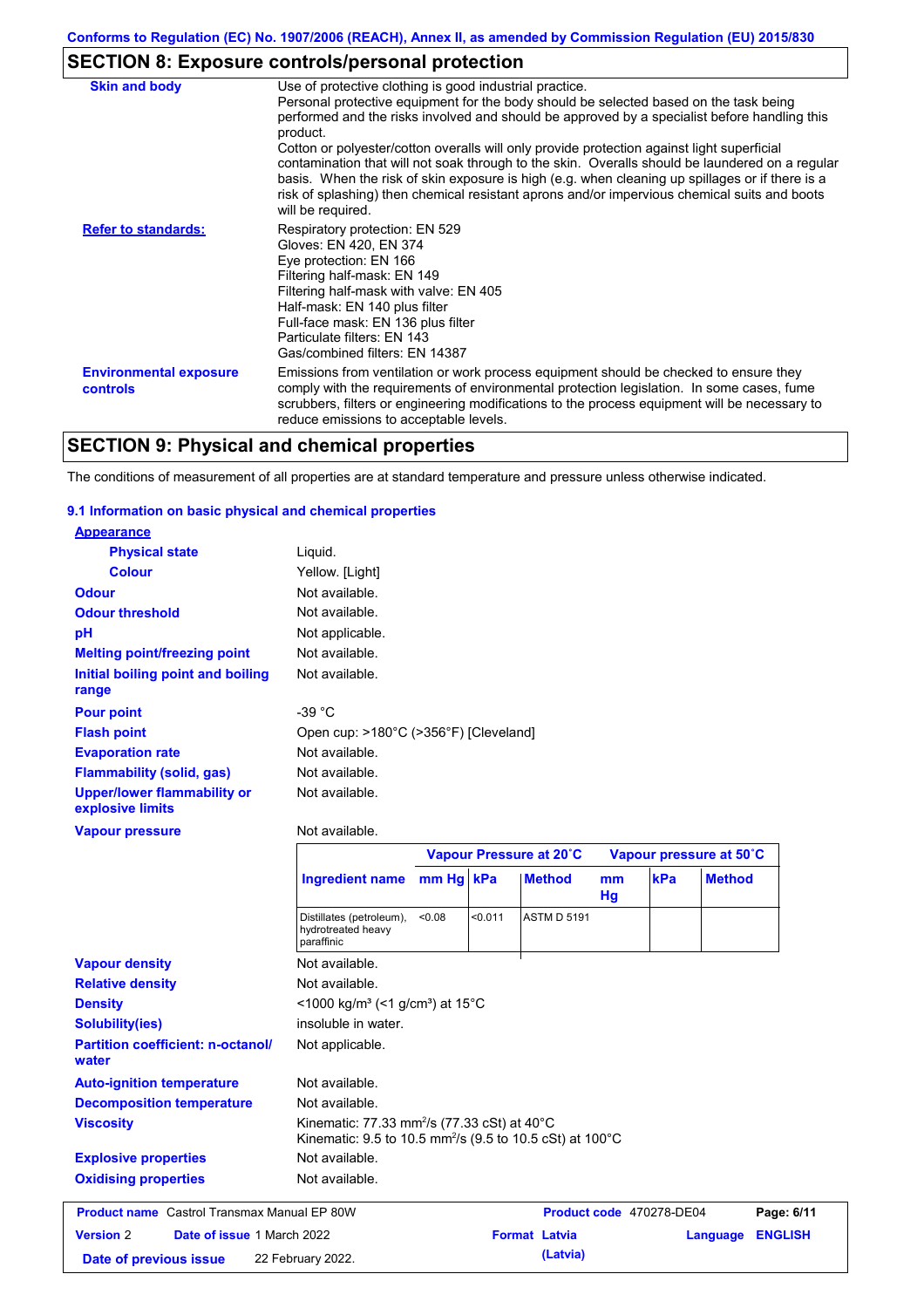# **SECTION 8: Exposure controls/personal protection**

| <b>Skin and body</b>                             | Use of protective clothing is good industrial practice.                                                                                                                                                                                                                                                                                                                                                                                                                                                                                                                                                                    |
|--------------------------------------------------|----------------------------------------------------------------------------------------------------------------------------------------------------------------------------------------------------------------------------------------------------------------------------------------------------------------------------------------------------------------------------------------------------------------------------------------------------------------------------------------------------------------------------------------------------------------------------------------------------------------------------|
|                                                  | Personal protective equipment for the body should be selected based on the task being<br>performed and the risks involved and should be approved by a specialist before handling this<br>product.<br>Cotton or polyester/cotton overalls will only provide protection against light superficial<br>contamination that will not soak through to the skin. Overalls should be laundered on a regular<br>basis. When the risk of skin exposure is high (e.g. when cleaning up spillages or if there is a<br>risk of splashing) then chemical resistant aprons and/or impervious chemical suits and boots<br>will be required. |
| <b>Refer to standards:</b>                       | Respiratory protection: EN 529<br>Gloves: EN 420, EN 374<br>Eye protection: EN 166<br>Filtering half-mask: EN 149<br>Filtering half-mask with valve: EN 405<br>Half-mask: EN 140 plus filter<br>Full-face mask: EN 136 plus filter<br>Particulate filters: EN 143<br>Gas/combined filters: EN 14387                                                                                                                                                                                                                                                                                                                        |
| <b>Environmental exposure</b><br><b>controls</b> | Emissions from ventilation or work process equipment should be checked to ensure they<br>comply with the requirements of environmental protection legislation. In some cases, fume<br>scrubbers, filters or engineering modifications to the process equipment will be necessary to<br>reduce emissions to acceptable levels.                                                                                                                                                                                                                                                                                              |

# **SECTION 9: Physical and chemical properties**

The conditions of measurement of all properties are at standard temperature and pressure unless otherwise indicated.

### **9.1 Information on basic physical and chemical properties**

| <b>Appearance</b>                                      |                                                                                                                                 |           |                         |                      |                          |          |     |                         |                |
|--------------------------------------------------------|---------------------------------------------------------------------------------------------------------------------------------|-----------|-------------------------|----------------------|--------------------------|----------|-----|-------------------------|----------------|
| <b>Physical state</b>                                  | Liquid.                                                                                                                         |           |                         |                      |                          |          |     |                         |                |
| <b>Colour</b>                                          | Yellow. [Light]                                                                                                                 |           |                         |                      |                          |          |     |                         |                |
| <b>Odour</b>                                           | Not available.                                                                                                                  |           |                         |                      |                          |          |     |                         |                |
| <b>Odour threshold</b>                                 | Not available.                                                                                                                  |           |                         |                      |                          |          |     |                         |                |
| pH                                                     | Not applicable.                                                                                                                 |           |                         |                      |                          |          |     |                         |                |
| <b>Melting point/freezing point</b>                    | Not available.                                                                                                                  |           |                         |                      |                          |          |     |                         |                |
| Initial boiling point and boiling<br>range             | Not available.                                                                                                                  |           |                         |                      |                          |          |     |                         |                |
| <b>Pour point</b>                                      | -39 $^{\circ}$ C                                                                                                                |           |                         |                      |                          |          |     |                         |                |
| <b>Flash point</b>                                     | Open cup: >180°C (>356°F) [Cleveland]                                                                                           |           |                         |                      |                          |          |     |                         |                |
| <b>Evaporation rate</b>                                | Not available.                                                                                                                  |           |                         |                      |                          |          |     |                         |                |
| <b>Flammability (solid, gas)</b>                       | Not available.                                                                                                                  |           |                         |                      |                          |          |     |                         |                |
| <b>Upper/lower flammability or</b><br>explosive limits | Not available.                                                                                                                  |           |                         |                      |                          |          |     |                         |                |
| <b>Vapour pressure</b>                                 | Not available.                                                                                                                  |           |                         |                      |                          |          |     |                         |                |
|                                                        |                                                                                                                                 |           | Vapour Pressure at 20°C |                      |                          |          |     | Vapour pressure at 50°C |                |
|                                                        | Ingredient name                                                                                                                 | mm Hg kPa |                         |                      | <b>Method</b>            | mm<br>Hg | kPa | <b>Method</b>           |                |
|                                                        | Distillates (petroleum),<br>hydrotreated heavy<br>paraffinic                                                                    | < 0.08    | < 0.011                 |                      | <b>ASTM D 5191</b>       |          |     |                         |                |
| <b>Vapour density</b>                                  | Not available.                                                                                                                  |           |                         |                      |                          |          |     |                         |                |
| <b>Relative density</b>                                | Not available.                                                                                                                  |           |                         |                      |                          |          |     |                         |                |
| <b>Density</b>                                         | <1000 kg/m <sup>3</sup> (<1 g/cm <sup>3</sup> ) at 15°C                                                                         |           |                         |                      |                          |          |     |                         |                |
| <b>Solubility(ies)</b>                                 | insoluble in water.                                                                                                             |           |                         |                      |                          |          |     |                         |                |
| <b>Partition coefficient: n-octanol/</b><br>water      | Not applicable.                                                                                                                 |           |                         |                      |                          |          |     |                         |                |
| <b>Auto-ignition temperature</b>                       | Not available.                                                                                                                  |           |                         |                      |                          |          |     |                         |                |
| <b>Decomposition temperature</b>                       | Not available.                                                                                                                  |           |                         |                      |                          |          |     |                         |                |
| <b>Viscosity</b>                                       | Kinematic: 77.33 mm <sup>2</sup> /s (77.33 cSt) at 40°C<br>Kinematic: 9.5 to 10.5 mm <sup>2</sup> /s (9.5 to 10.5 cSt) at 100°C |           |                         |                      |                          |          |     |                         |                |
| <b>Explosive properties</b>                            | Not available.                                                                                                                  |           |                         |                      |                          |          |     |                         |                |
| <b>Oxidising properties</b>                            | Not available.                                                                                                                  |           |                         |                      |                          |          |     |                         |                |
| <b>Product name</b> Castrol Transmax Manual EP 80W     |                                                                                                                                 |           |                         |                      | Product code 470278-DE04 |          |     |                         | Page: 6/11     |
| <b>Version 2</b><br><b>Date of issue 1 March 2022</b>  |                                                                                                                                 |           |                         | <b>Format Latvia</b> |                          |          |     | <b>Language</b>         | <b>ENGLISH</b> |
| Date of previous issue                                 | 22 February 2022.                                                                                                               |           |                         |                      | (Latvia)                 |          |     |                         |                |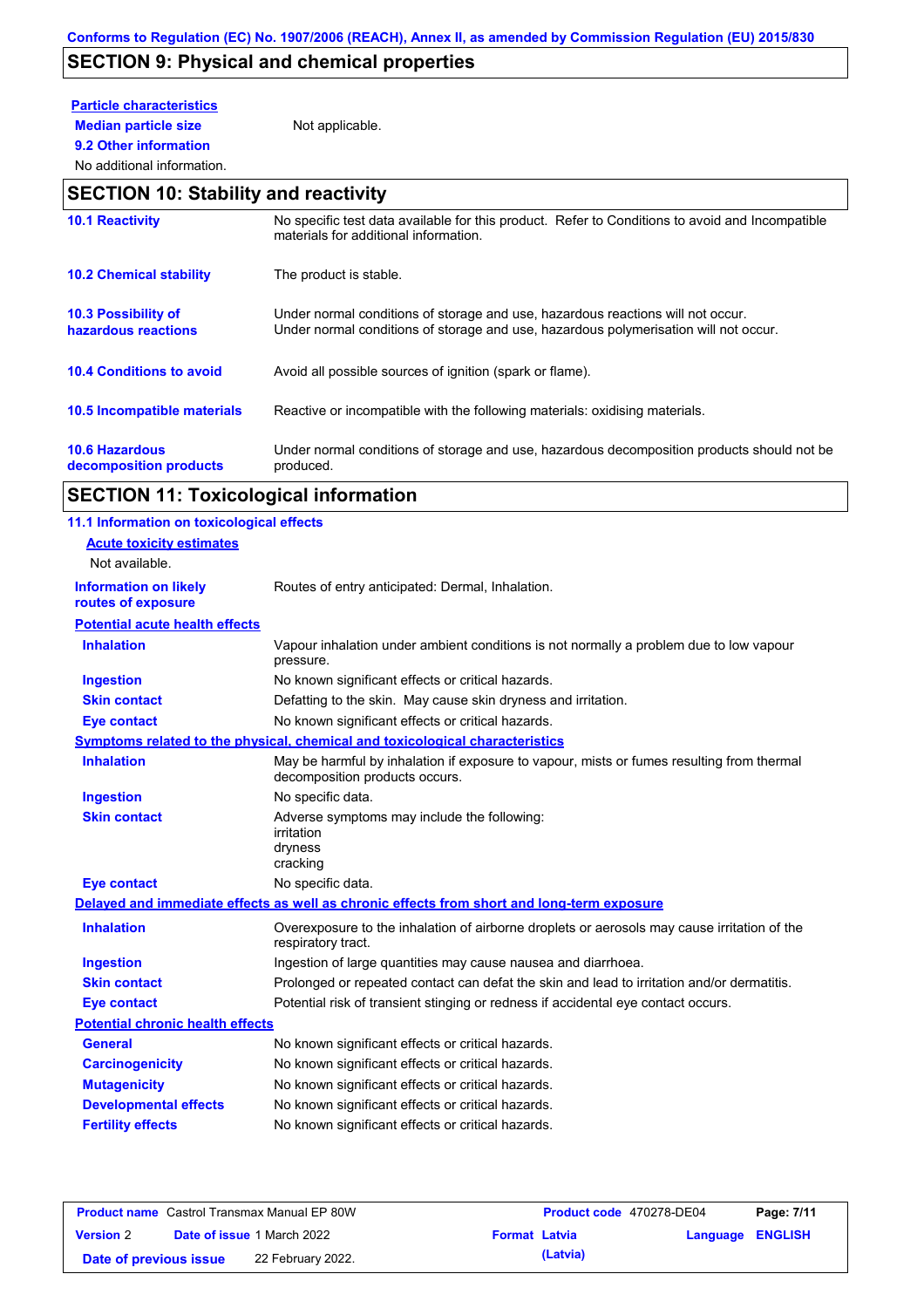# **SECTION 9: Physical and chemical properties**

## **Particle characteristics**

**Median particle size** Not applicable.

### **9.2 Other information** No additional information.

### **SECTION 10: Stability and reactivity**

| <b>10.1 Reactivity</b>                            | No specific test data available for this product. Refer to Conditions to avoid and Incompatible<br>materials for additional information.                                |
|---------------------------------------------------|-------------------------------------------------------------------------------------------------------------------------------------------------------------------------|
| <b>10.2 Chemical stability</b>                    | The product is stable.                                                                                                                                                  |
| <b>10.3 Possibility of</b><br>hazardous reactions | Under normal conditions of storage and use, hazardous reactions will not occur.<br>Under normal conditions of storage and use, hazardous polymerisation will not occur. |
| <b>10.4 Conditions to avoid</b>                   | Avoid all possible sources of ignition (spark or flame).                                                                                                                |
| 10.5 Incompatible materials                       | Reactive or incompatible with the following materials: oxidising materials.                                                                                             |
| <b>10.6 Hazardous</b><br>decomposition products   | Under normal conditions of storage and use, hazardous decomposition products should not be<br>produced.                                                                 |

# **SECTION 11: Toxicological information**

| 11.1 Information on toxicological effects          |                                                                                                                             |
|----------------------------------------------------|-----------------------------------------------------------------------------------------------------------------------------|
| <b>Acute toxicity estimates</b>                    |                                                                                                                             |
| Not available.                                     |                                                                                                                             |
| <b>Information on likely</b><br>routes of exposure | Routes of entry anticipated: Dermal, Inhalation.                                                                            |
| <b>Potential acute health effects</b>              |                                                                                                                             |
| <b>Inhalation</b>                                  | Vapour inhalation under ambient conditions is not normally a problem due to low vapour<br>pressure.                         |
| <b>Ingestion</b>                                   | No known significant effects or critical hazards.                                                                           |
| <b>Skin contact</b>                                | Defatting to the skin. May cause skin dryness and irritation.                                                               |
| <b>Eye contact</b>                                 | No known significant effects or critical hazards.                                                                           |
|                                                    | Symptoms related to the physical, chemical and toxicological characteristics                                                |
| <b>Inhalation</b>                                  | May be harmful by inhalation if exposure to vapour, mists or fumes resulting from thermal<br>decomposition products occurs. |
| <b>Ingestion</b>                                   | No specific data.                                                                                                           |
| <b>Skin contact</b>                                | Adverse symptoms may include the following:<br>irritation<br>dryness<br>cracking                                            |
| <b>Eye contact</b>                                 | No specific data.                                                                                                           |
|                                                    | Delayed and immediate effects as well as chronic effects from short and long-term exposure                                  |
| <b>Inhalation</b>                                  | Overexposure to the inhalation of airborne droplets or aerosols may cause irritation of the<br>respiratory tract.           |
| <b>Ingestion</b>                                   | Ingestion of large quantities may cause nausea and diarrhoea.                                                               |
| <b>Skin contact</b>                                | Prolonged or repeated contact can defat the skin and lead to irritation and/or dermatitis.                                  |
| <b>Eye contact</b>                                 | Potential risk of transient stinging or redness if accidental eye contact occurs.                                           |
| <b>Potential chronic health effects</b>            |                                                                                                                             |
| <b>General</b>                                     | No known significant effects or critical hazards.                                                                           |
| <b>Carcinogenicity</b>                             | No known significant effects or critical hazards.                                                                           |
| <b>Mutagenicity</b>                                | No known significant effects or critical hazards.                                                                           |
| <b>Developmental effects</b>                       | No known significant effects or critical hazards.                                                                           |
| <b>Fertility effects</b>                           | No known significant effects or critical hazards.                                                                           |
|                                                    |                                                                                                                             |

|                        | <b>Product name</b> Castrol Transmax Manual EP 80W |                      | <b>Product code</b> 470278-DE04 |                         | Page: 7/11 |
|------------------------|----------------------------------------------------|----------------------|---------------------------------|-------------------------|------------|
| <b>Version 2</b>       | <b>Date of issue 1 March 2022</b>                  | <b>Format Latvia</b> |                                 | <b>Language ENGLISH</b> |            |
| Date of previous issue | 22 February 2022.                                  |                      | (Latvia)                        |                         |            |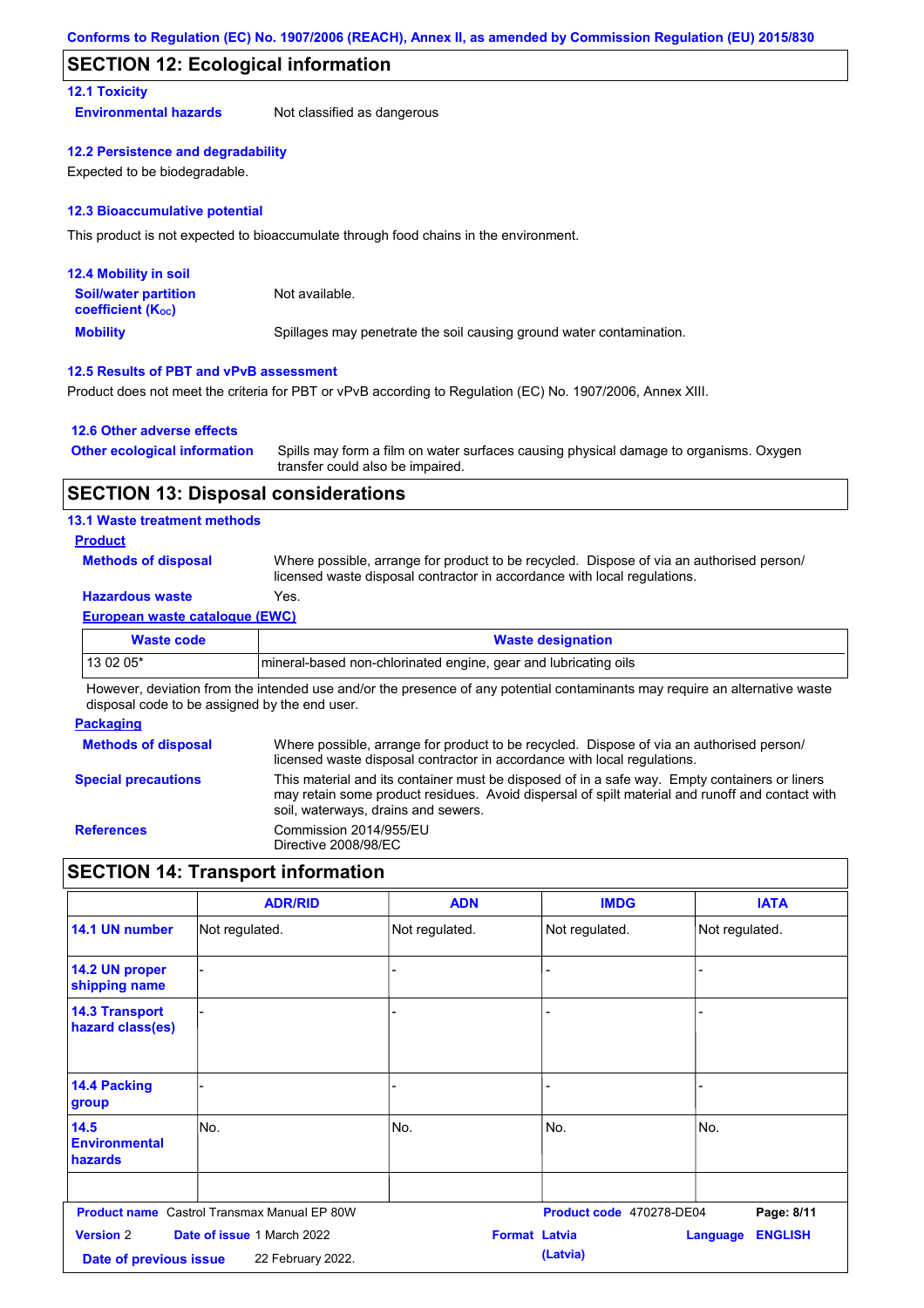### **SECTION 12: Ecological information**

### **12.1 Toxicity**

**Environmental hazards** Not classified as dangerous

### **12.2 Persistence and degradability**

Expected to be biodegradable.

### **12.3 Bioaccumulative potential**

This product is not expected to bioaccumulate through food chains in the environment.

| <b>12.4 Mobility in soil</b>                                  |                                                                      |
|---------------------------------------------------------------|----------------------------------------------------------------------|
| <b>Soil/water partition</b><br>coefficient (K <sub>oc</sub> ) | Not available.                                                       |
| <b>Mobility</b>                                               | Spillages may penetrate the soil causing ground water contamination. |

### **12.5 Results of PBT and vPvB assessment**

Product does not meet the criteria for PBT or vPvB according to Regulation (EC) No. 1907/2006, Annex XIII.

### **12.6 Other adverse effects**

| <b>Other ecological information</b> | Spills may form a film on water surfaces causing physical damage to organisms. Oxygen |
|-------------------------------------|---------------------------------------------------------------------------------------|
|                                     | transfer could also be impaired.                                                      |

### **SECTION 13: Disposal considerations**

### **13.1 Waste treatment methods**

### **Product**

**Methods of disposal**

Where possible, arrange for product to be recycled. Dispose of via an authorised person/ licensed waste disposal contractor in accordance with local regulations.

### **Hazardous waste** Yes.

### **European waste catalogue (EWC)**

| Waste code | <b>Waste designation</b>                                         |
|------------|------------------------------------------------------------------|
| $130205*$  | Imineral-based non-chlorinated engine, gear and lubricating oils |

However, deviation from the intended use and/or the presence of any potential contaminants may require an alternative waste disposal code to be assigned by the end user.

### **Packaging**

| <b>Methods of disposal</b> | Where possible, arrange for product to be recycled. Dispose of via an authorised person/<br>licensed waste disposal contractor in accordance with local regulations.                                                                    |
|----------------------------|-----------------------------------------------------------------------------------------------------------------------------------------------------------------------------------------------------------------------------------------|
| <b>Special precautions</b> | This material and its container must be disposed of in a safe way. Empty containers or liners<br>may retain some product residues. Avoid dispersal of spilt material and runoff and contact with<br>soil, waterways, drains and sewers. |
| <b>References</b>          | Commission 2014/955/EU<br>Directive 2008/98/EC                                                                                                                                                                                          |

### **SECTION 14: Transport information**

|                                            | <b>ADR/RID</b>                                         | <b>ADN</b>           | <b>IMDG</b>              | <b>IATA</b>                       |
|--------------------------------------------|--------------------------------------------------------|----------------------|--------------------------|-----------------------------------|
| 14.1 UN number                             | Not regulated.                                         | Not regulated.       | Not regulated.           | Not regulated.                    |
| 14.2 UN proper<br>shipping name            |                                                        |                      |                          |                                   |
| <b>14.3 Transport</b><br>hazard class(es)  |                                                        |                      |                          |                                   |
| 14.4 Packing<br>group                      |                                                        |                      |                          |                                   |
| 14.5<br><b>Environmental</b><br>hazards    | No.                                                    | No.                  | No.                      | No.                               |
|                                            | <b>Product name</b> Castrol Transmax Manual EP 80W     |                      | Product code 470278-DE04 | Page: 8/11                        |
| <b>Version 2</b><br>Date of previous issue | <b>Date of issue 1 March 2022</b><br>22 February 2022. | <b>Format Latvia</b> | (Latvia)                 | <b>ENGLISH</b><br><b>Language</b> |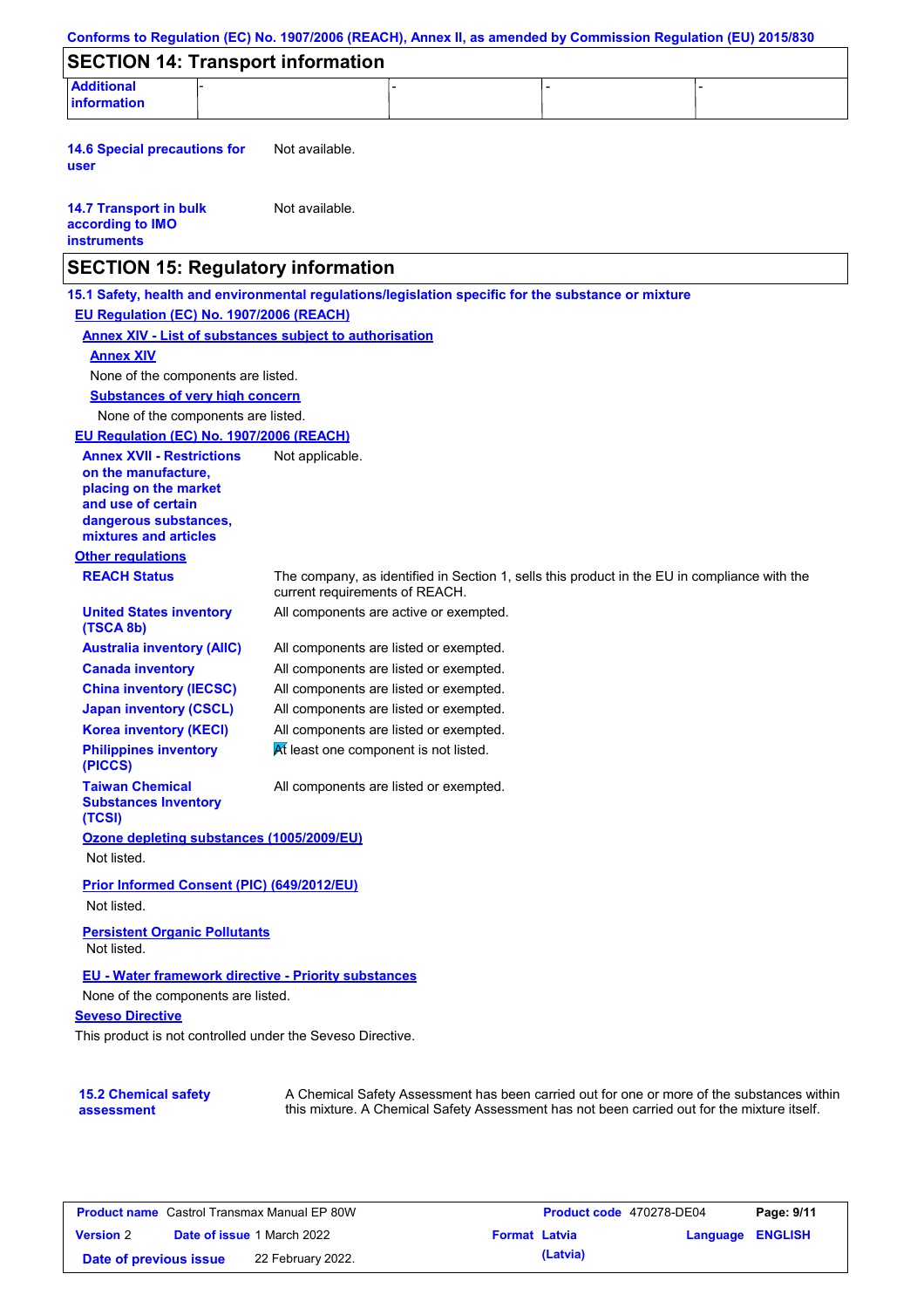| <b>SECTION 14: Transport information</b>                                                            |                                                                |                                                                                              |                                                                                            |
|-----------------------------------------------------------------------------------------------------|----------------------------------------------------------------|----------------------------------------------------------------------------------------------|--------------------------------------------------------------------------------------------|
| <b>Additional</b>                                                                                   |                                                                |                                                                                              |                                                                                            |
| information                                                                                         |                                                                |                                                                                              |                                                                                            |
| <b>14.6 Special precautions for</b><br>user                                                         | Not available.                                                 |                                                                                              |                                                                                            |
|                                                                                                     |                                                                |                                                                                              |                                                                                            |
| <b>14.7 Transport in bulk</b><br>according to IMO<br><b>instruments</b>                             | Not available.                                                 |                                                                                              |                                                                                            |
| <b>SECTION 15: Regulatory information</b>                                                           |                                                                |                                                                                              |                                                                                            |
| 15.1 Safety, health and environmental regulations/legislation specific for the substance or mixture |                                                                |                                                                                              |                                                                                            |
| EU Regulation (EC) No. 1907/2006 (REACH)                                                            |                                                                |                                                                                              |                                                                                            |
|                                                                                                     | <b>Annex XIV - List of substances subject to authorisation</b> |                                                                                              |                                                                                            |
| <b>Annex XIV</b>                                                                                    |                                                                |                                                                                              |                                                                                            |
| None of the components are listed.                                                                  |                                                                |                                                                                              |                                                                                            |
| <b>Substances of very high concern</b>                                                              |                                                                |                                                                                              |                                                                                            |
| None of the components are listed.                                                                  |                                                                |                                                                                              |                                                                                            |
| EU Regulation (EC) No. 1907/2006 (REACH)                                                            |                                                                |                                                                                              |                                                                                            |
| <b>Annex XVII - Restrictions</b>                                                                    | Not applicable.                                                |                                                                                              |                                                                                            |
| on the manufacture,                                                                                 |                                                                |                                                                                              |                                                                                            |
| placing on the market                                                                               |                                                                |                                                                                              |                                                                                            |
| and use of certain                                                                                  |                                                                |                                                                                              |                                                                                            |
| dangerous substances,<br>mixtures and articles                                                      |                                                                |                                                                                              |                                                                                            |
| <b>Other regulations</b>                                                                            |                                                                |                                                                                              |                                                                                            |
| <b>REACH Status</b>                                                                                 |                                                                | The company, as identified in Section 1, sells this product in the EU in compliance with the |                                                                                            |
|                                                                                                     | current requirements of REACH.                                 |                                                                                              |                                                                                            |
| <b>United States inventory</b><br>(TSCA 8b)                                                         |                                                                | All components are active or exempted.                                                       |                                                                                            |
| <b>Australia inventory (AIIC)</b>                                                                   |                                                                | All components are listed or exempted.                                                       |                                                                                            |
| <b>Canada inventory</b>                                                                             |                                                                | All components are listed or exempted.                                                       |                                                                                            |
| <b>China inventory (IECSC)</b>                                                                      |                                                                | All components are listed or exempted.                                                       |                                                                                            |
| <b>Japan inventory (CSCL)</b>                                                                       |                                                                | All components are listed or exempted.                                                       |                                                                                            |
| <b>Korea inventory (KECI)</b>                                                                       |                                                                | All components are listed or exempted.                                                       |                                                                                            |
| <b>Philippines inventory</b><br>(PICCS)                                                             | At least one component is not listed.                          |                                                                                              |                                                                                            |
| <b>Taiwan Chemical</b><br><b>Substances Inventory</b><br>(TCSI)                                     |                                                                | All components are listed or exempted.                                                       |                                                                                            |
| Ozone depleting substances (1005/2009/EU)                                                           |                                                                |                                                                                              |                                                                                            |
| Not listed.                                                                                         |                                                                |                                                                                              |                                                                                            |
| Prior Informed Consent (PIC) (649/2012/EU)                                                          |                                                                |                                                                                              |                                                                                            |
| Not listed.                                                                                         |                                                                |                                                                                              |                                                                                            |
|                                                                                                     |                                                                |                                                                                              |                                                                                            |
| <b>Persistent Organic Pollutants</b><br>Not listed.                                                 |                                                                |                                                                                              |                                                                                            |
|                                                                                                     | EU - Water framework directive - Priority substances           |                                                                                              |                                                                                            |
| None of the components are listed.                                                                  |                                                                |                                                                                              |                                                                                            |
| <b>Seveso Directive</b>                                                                             |                                                                |                                                                                              |                                                                                            |
|                                                                                                     | This product is not controlled under the Seveso Directive.     |                                                                                              |                                                                                            |
|                                                                                                     |                                                                |                                                                                              |                                                                                            |
|                                                                                                     |                                                                |                                                                                              |                                                                                            |
| <b>15.2 Chemical safety</b>                                                                         |                                                                |                                                                                              | A Chemical Safety Assessment has been carried out for one or more of the substances within |
| assessment                                                                                          |                                                                | this mixture. A Chemical Safety Assessment has not been carried out for the mixture itself.  |                                                                                            |

| <b>Product name</b> Castrol Transmax Manual EP 80W |  | Product code 470278-DE04          |                      | Page: 9/11 |                         |  |
|----------------------------------------------------|--|-----------------------------------|----------------------|------------|-------------------------|--|
| <b>Version 2</b>                                   |  | <b>Date of issue 1 March 2022</b> | <b>Format Latvia</b> |            | <b>Language ENGLISH</b> |  |
| Date of previous issue                             |  | 22 February 2022.                 |                      | (Latvia)   |                         |  |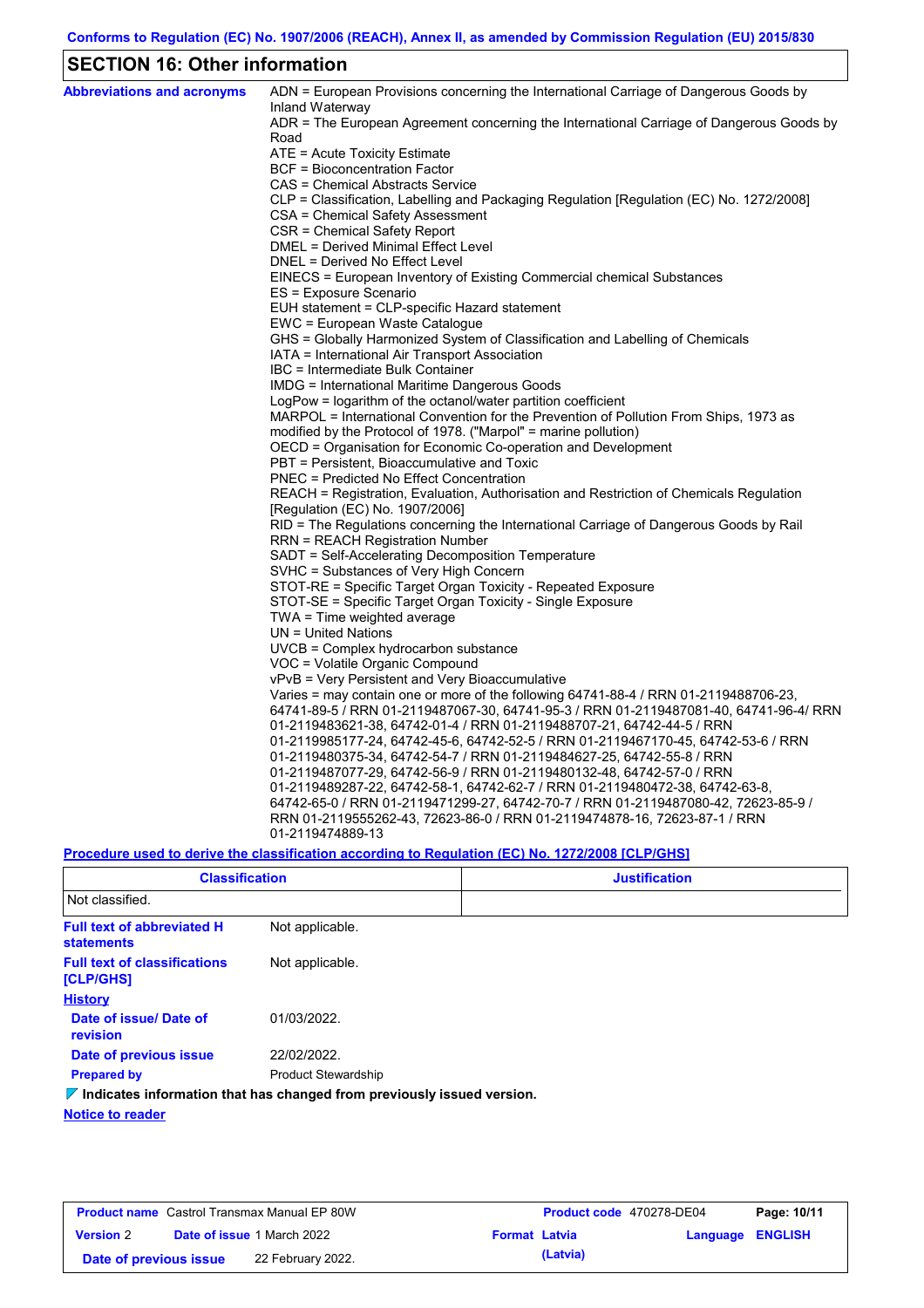## **SECTION 16: Other information**

| <b>Abbreviations and acronyms</b> | ADN = European Provisions concerning the International Carriage of Dangerous Goods by<br>Inland Waterway |
|-----------------------------------|----------------------------------------------------------------------------------------------------------|
|                                   | ADR = The European Agreement concerning the International Carriage of Dangerous Goods by<br>Road         |
|                                   | ATE = Acute Toxicity Estimate                                                                            |
|                                   | <b>BCF</b> = Bioconcentration Factor                                                                     |
|                                   | CAS = Chemical Abstracts Service                                                                         |
|                                   | CLP = Classification, Labelling and Packaging Regulation [Regulation (EC) No. 1272/2008]                 |
|                                   | CSA = Chemical Safety Assessment                                                                         |
|                                   | CSR = Chemical Safety Report                                                                             |
|                                   | <b>DMEL = Derived Minimal Effect Level</b>                                                               |
|                                   | DNEL = Derived No Effect Level                                                                           |
|                                   | EINECS = European Inventory of Existing Commercial chemical Substances                                   |
|                                   | ES = Exposure Scenario                                                                                   |
|                                   | EUH statement = CLP-specific Hazard statement                                                            |
|                                   | EWC = European Waste Catalogue                                                                           |
|                                   | GHS = Globally Harmonized System of Classification and Labelling of Chemicals                            |
|                                   | IATA = International Air Transport Association                                                           |
|                                   | IBC = Intermediate Bulk Container                                                                        |
|                                   | IMDG = International Maritime Dangerous Goods                                                            |
|                                   | LogPow = logarithm of the octanol/water partition coefficient                                            |
|                                   | MARPOL = International Convention for the Prevention of Pollution From Ships, 1973 as                    |
|                                   | modified by the Protocol of 1978. ("Marpol" = marine pollution)                                          |
|                                   | OECD = Organisation for Economic Co-operation and Development                                            |
|                                   | PBT = Persistent, Bioaccumulative and Toxic                                                              |
|                                   | <b>PNEC</b> = Predicted No Effect Concentration                                                          |
|                                   | REACH = Registration, Evaluation, Authorisation and Restriction of Chemicals Regulation                  |
|                                   | [Regulation (EC) No. 1907/2006]                                                                          |
|                                   | RID = The Regulations concerning the International Carriage of Dangerous Goods by Rail                   |
|                                   | <b>RRN = REACH Registration Number</b><br>SADT = Self-Accelerating Decomposition Temperature             |
|                                   | SVHC = Substances of Very High Concern                                                                   |
|                                   | STOT-RE = Specific Target Organ Toxicity - Repeated Exposure                                             |
|                                   | STOT-SE = Specific Target Organ Toxicity - Single Exposure                                               |
|                                   | TWA = Time weighted average                                                                              |
|                                   | $UN = United Nations$                                                                                    |
|                                   | $UVCB = Complex\;hydrocarbon\; substance$                                                                |
|                                   | VOC = Volatile Organic Compound                                                                          |
|                                   | vPvB = Very Persistent and Very Bioaccumulative                                                          |
|                                   | Varies = may contain one or more of the following $64741-88-4$ / RRN 01-2119488706-23,                   |
|                                   | 64741-89-5 / RRN 01-2119487067-30, 64741-95-3 / RRN 01-2119487081-40, 64741-96-4/ RRN                    |
|                                   | 01-2119483621-38, 64742-01-4 / RRN 01-2119488707-21, 64742-44-5 / RRN                                    |
|                                   | 01-2119985177-24, 64742-45-6, 64742-52-5 / RRN 01-2119467170-45, 64742-53-6 / RRN                        |
|                                   | 01-2119480375-34, 64742-54-7 / RRN 01-2119484627-25, 64742-55-8 / RRN                                    |
|                                   | 01-2119487077-29, 64742-56-9 / RRN 01-2119480132-48, 64742-57-0 / RRN                                    |
|                                   | 01-2119489287-22, 64742-58-1, 64742-62-7 / RRN 01-2119480472-38, 64742-63-8,                             |
|                                   | 64742-65-0 / RRN 01-2119471299-27, 64742-70-7 / RRN 01-2119487080-42, 72623-85-9 /                       |
|                                   | RRN 01-2119555262-43, 72623-86-0 / RRN 01-2119474878-16, 72623-87-1 / RRN                                |
|                                   | 01-2119474889-13                                                                                         |
|                                   |                                                                                                          |

**Procedure used to derive the classification according to Regulation (EC) No. 1272/2008 [CLP/GHS]**

| <b>Classification</b>                                   |                                                                                 | <b>Justification</b> |
|---------------------------------------------------------|---------------------------------------------------------------------------------|----------------------|
| Not classified.                                         |                                                                                 |                      |
| <b>Full text of abbreviated H</b><br><b>statements</b>  | Not applicable.                                                                 |                      |
| <b>Full text of classifications</b><br><b>[CLP/GHS]</b> | Not applicable.                                                                 |                      |
| <b>History</b>                                          |                                                                                 |                      |
| Date of issue/Date of<br>revision                       | 01/03/2022.                                                                     |                      |
| Date of previous issue                                  | 22/02/2022.                                                                     |                      |
| <b>Prepared by</b>                                      | <b>Product Stewardship</b>                                                      |                      |
|                                                         | $\nabla$ Indicates information that has changed from previously issued version. |                      |
| <b>Notice to reader</b>                                 |                                                                                 |                      |

| <b>Product name</b> Castrol Transmax Manual EP 80W |  | <b>Product code</b> 470278-DE04   |                      | Page: 10/11 |                         |  |
|----------------------------------------------------|--|-----------------------------------|----------------------|-------------|-------------------------|--|
| <b>Version 2</b>                                   |  | <b>Date of issue 1 March 2022</b> | <b>Format Latvia</b> |             | <b>Language ENGLISH</b> |  |
| Date of previous issue                             |  | 22 February 2022.                 |                      | (Latvia)    |                         |  |